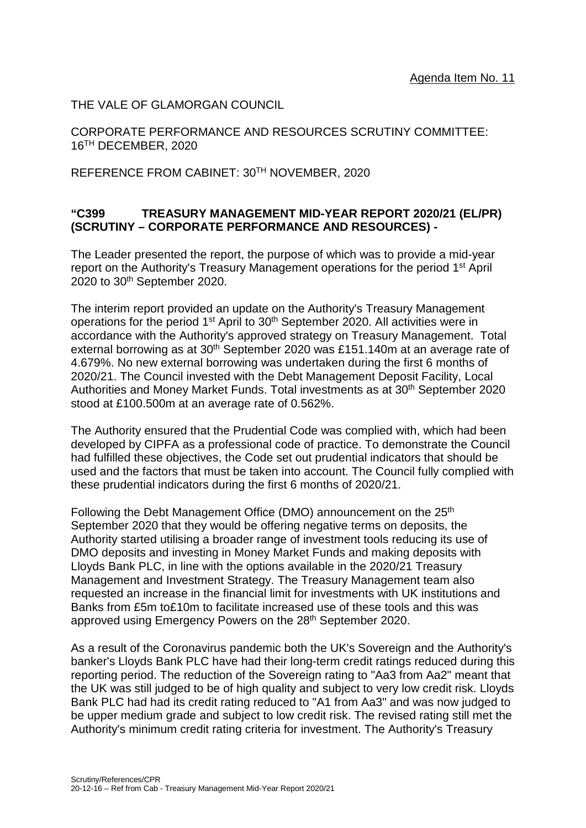THE VALE OF GLAMORGAN COUNCIL

CORPORATE PERFORMANCE AND RESOURCES SCRUTINY COMMITTEE: 16TH DECEMBER, 2020

REFERENCE FROM CABINET: 30TH NOVEMBER, 2020

# **"C399 TREASURY MANAGEMENT MID-YEAR REPORT 2020/21 (EL/PR) (SCRUTINY – CORPORATE PERFORMANCE AND RESOURCES) -**

The Leader presented the report, the purpose of which was to provide a mid-year report on the Authority's Treasury Management operations for the period 1<sup>st</sup> April 2020 to 30th September 2020.

The interim report provided an update on the Authority's Treasury Management operations for the period 1<sup>st</sup> April to 30<sup>th</sup> September 2020. All activities were in accordance with the Authority's approved strategy on Treasury Management. Total external borrowing as at 30<sup>th</sup> September 2020 was £151.140m at an average rate of 4.679%. No new external borrowing was undertaken during the first 6 months of 2020/21. The Council invested with the Debt Management Deposit Facility, Local Authorities and Money Market Funds. Total investments as at 30<sup>th</sup> September 2020 stood at £100.500m at an average rate of 0.562%.

The Authority ensured that the Prudential Code was complied with, which had been developed by CIPFA as a professional code of practice. To demonstrate the Council had fulfilled these objectives, the Code set out prudential indicators that should be used and the factors that must be taken into account. The Council fully complied with these prudential indicators during the first 6 months of 2020/21.

Following the Debt Management Office (DMO) announcement on the 25<sup>th</sup> September 2020 that they would be offering negative terms on deposits, the Authority started utilising a broader range of investment tools reducing its use of DMO deposits and investing in Money Market Funds and making deposits with Lloyds Bank PLC, in line with the options available in the 2020/21 Treasury Management and Investment Strategy. The Treasury Management team also requested an increase in the financial limit for investments with UK institutions and Banks from £5m to£10m to facilitate increased use of these tools and this was approved using Emergency Powers on the 28<sup>th</sup> September 2020.

As a result of the Coronavirus pandemic both the UK's Sovereign and the Authority's banker's Lloyds Bank PLC have had their long-term credit ratings reduced during this reporting period. The reduction of the Sovereign rating to "Aa3 from Aa2" meant that the UK was still judged to be of high quality and subject to very low credit risk. Lloyds Bank PLC had had its credit rating reduced to "A1 from Aa3" and was now judged to be upper medium grade and subject to low credit risk. The revised rating still met the Authority's minimum credit rating criteria for investment. The Authority's Treasury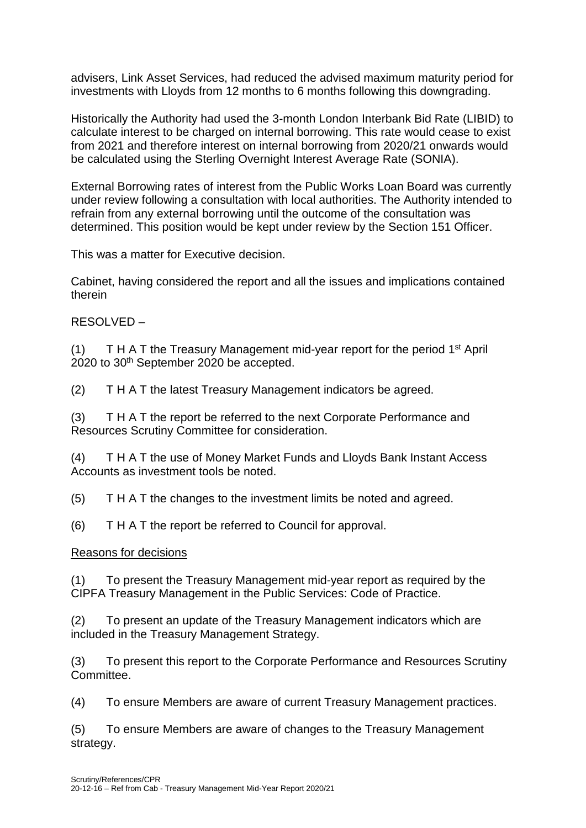advisers, Link Asset Services, had reduced the advised maximum maturity period for investments with Lloyds from 12 months to 6 months following this downgrading.

Historically the Authority had used the 3-month London Interbank Bid Rate (LIBID) to calculate interest to be charged on internal borrowing. This rate would cease to exist from 2021 and therefore interest on internal borrowing from 2020/21 onwards would be calculated using the Sterling Overnight Interest Average Rate (SONIA).

External Borrowing rates of interest from the Public Works Loan Board was currently under review following a consultation with local authorities. The Authority intended to refrain from any external borrowing until the outcome of the consultation was determined. This position would be kept under review by the Section 151 Officer.

This was a matter for Executive decision.

Cabinet, having considered the report and all the issues and implications contained therein

RESOLVED –

(1) T H A T the Treasury Management mid-year report for the period  $1<sup>st</sup>$  April 2020 to 30<sup>th</sup> September 2020 be accepted.

(2) T H A T the latest Treasury Management indicators be agreed.

(3) T H A T the report be referred to the next Corporate Performance and Resources Scrutiny Committee for consideration.

(4) T H A T the use of Money Market Funds and Lloyds Bank Instant Access Accounts as investment tools be noted.

(5) T H A T the changes to the investment limits be noted and agreed.

(6) T H A T the report be referred to Council for approval.

### Reasons for decisions

(1) To present the Treasury Management mid-year report as required by the CIPFA Treasury Management in the Public Services: Code of Practice.

(2) To present an update of the Treasury Management indicators which are included in the Treasury Management Strategy.

(3) To present this report to the Corporate Performance and Resources Scrutiny Committee.

(4) To ensure Members are aware of current Treasury Management practices.

(5) To ensure Members are aware of changes to the Treasury Management strategy.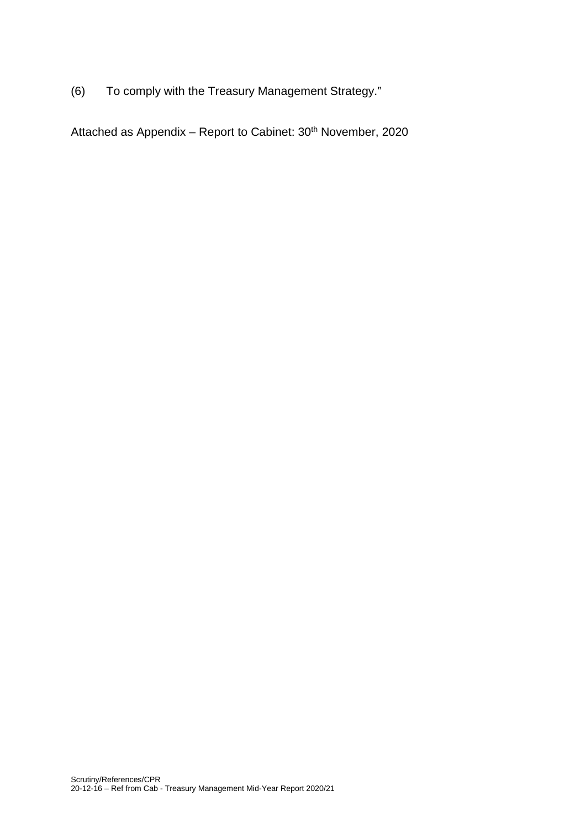(6) To comply with the Treasury Management Strategy."

Attached as Appendix - Report to Cabinet: 30<sup>th</sup> November, 2020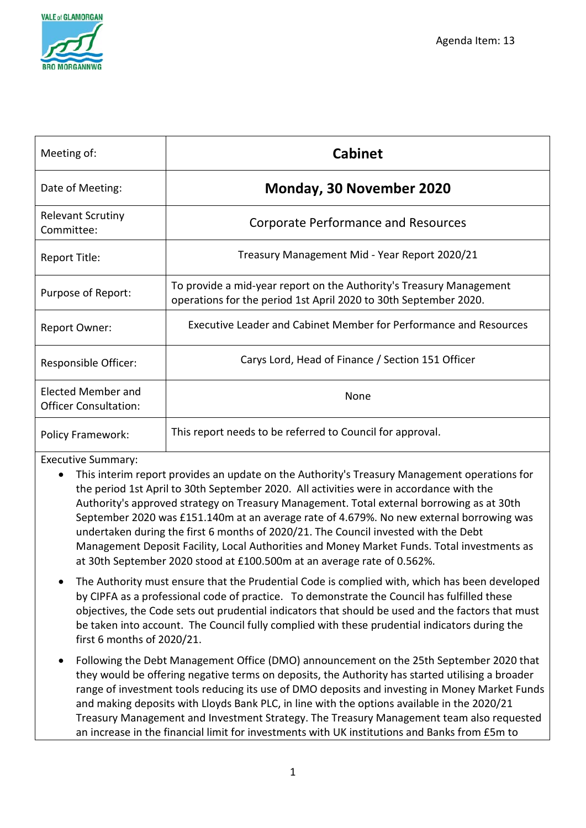

| Meeting of:                                        | <b>Cabinet</b>                                                                                                                          |
|----------------------------------------------------|-----------------------------------------------------------------------------------------------------------------------------------------|
| Date of Meeting:                                   | <b>Monday, 30 November 2020</b>                                                                                                         |
| <b>Relevant Scrutiny</b><br>Committee:             | <b>Corporate Performance and Resources</b>                                                                                              |
| Report Title:                                      | Treasury Management Mid - Year Report 2020/21                                                                                           |
| Purpose of Report:                                 | To provide a mid-year report on the Authority's Treasury Management<br>operations for the period 1st April 2020 to 30th September 2020. |
| <b>Report Owner:</b>                               | Executive Leader and Cabinet Member for Performance and Resources                                                                       |
| Responsible Officer:                               | Carys Lord, Head of Finance / Section 151 Officer                                                                                       |
| Elected Member and<br><b>Officer Consultation:</b> | None                                                                                                                                    |
| <b>Policy Framework:</b>                           | This report needs to be referred to Council for approval.                                                                               |

Executive Summary:

- This interim report provides an update on the Authority's Treasury Management operations for the period 1st April to 30th September 2020. All activities were in accordance with the Authority's approved strategy on Treasury Management. Total external borrowing as at 30th September 2020 was £151.140m at an average rate of 4.679%. No new external borrowing was undertaken during the first 6 months of 2020/21. The Council invested with the Debt Management Deposit Facility, Local Authorities and Money Market Funds. Total investments as at 30th September 2020 stood at £100.500m at an average rate of 0.562%.
- The Authority must ensure that the Prudential Code is complied with, which has been developed by CIPFA as a professional code of practice. To demonstrate the Council has fulfilled these objectives, the Code sets out prudential indicators that should be used and the factors that must be taken into account. The Council fully complied with these prudential indicators during the first 6 months of 2020/21.
- Following the Debt Management Office (DMO) announcement on the 25th September 2020 that they would be offering negative terms on deposits, the Authority has started utilising a broader range of investment tools reducing its use of DMO deposits and investing in Money Market Funds and making deposits with Lloyds Bank PLC, in line with the options available in the 2020/21 Treasury Management and Investment Strategy. The Treasury Management team also requested an increase in the financial limit for investments with UK institutions and Banks from £5m to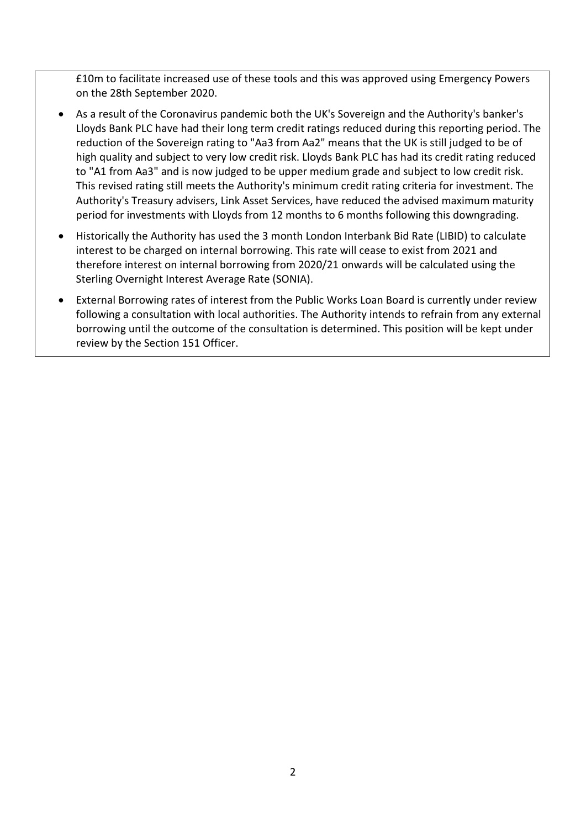£10m to facilitate increased use of these tools and this was approved using Emergency Powers on the 28th September 2020.

- As a result of the Coronavirus pandemic both the UK's Sovereign and the Authority's banker's Lloyds Bank PLC have had their long term credit ratings reduced during this reporting period. The reduction of the Sovereign rating to "Aa3 from Aa2" means that the UK is still judged to be of high quality and subject to very low credit risk. Lloyds Bank PLC has had its credit rating reduced to "A1 from Aa3" and is now judged to be upper medium grade and subject to low credit risk. This revised rating still meets the Authority's minimum credit rating criteria for investment. The Authority's Treasury advisers, Link Asset Services, have reduced the advised maximum maturity period for investments with Lloyds from 12 months to 6 months following this downgrading.
- Historically the Authority has used the 3 month London Interbank Bid Rate (LIBID) to calculate interest to be charged on internal borrowing. This rate will cease to exist from 2021 and therefore interest on internal borrowing from 2020/21 onwards will be calculated using the Sterling Overnight Interest Average Rate (SONIA).
- External Borrowing rates of interest from the Public Works Loan Board is currently under review following a consultation with local authorities. The Authority intends to refrain from any external borrowing until the outcome of the consultation is determined. This position will be kept under review by the Section 151 Officer.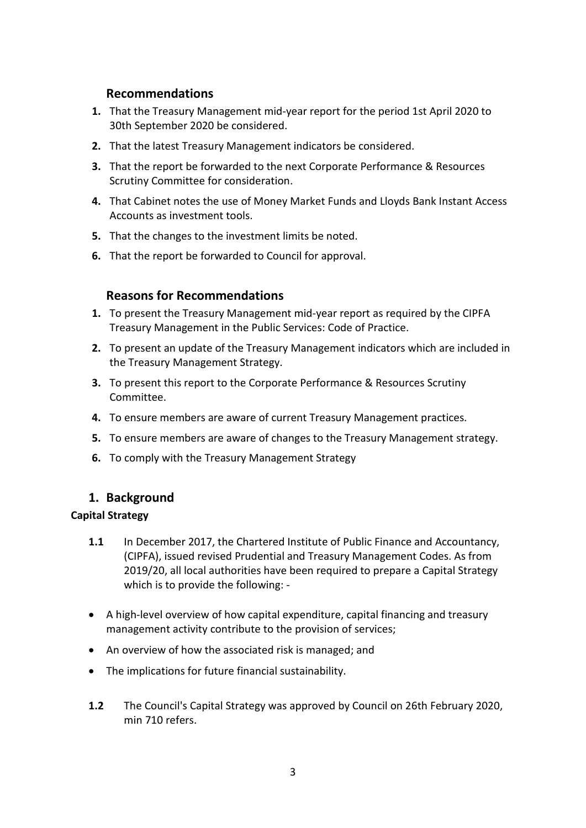# **Recommendations**

- **1.** That the Treasury Management mid-year report for the period 1st April 2020 to 30th September 2020 be considered.
- **2.** That the latest Treasury Management indicators be considered.
- **3.** That the report be forwarded to the next Corporate Performance & Resources Scrutiny Committee for consideration.
- **4.** That Cabinet notes the use of Money Market Funds and Lloyds Bank Instant Access Accounts as investment tools.
- **5.** That the changes to the investment limits be noted.
- **6.** That the report be forwarded to Council for approval.

# **Reasons for Recommendations**

- **1.** To present the Treasury Management mid-year report as required by the CIPFA Treasury Management in the Public Services: Code of Practice.
- **2.** To present an update of the Treasury Management indicators which are included in the Treasury Management Strategy.
- **3.** To present this report to the Corporate Performance & Resources Scrutiny Committee.
- **4.** To ensure members are aware of current Treasury Management practices.
- **5.** To ensure members are aware of changes to the Treasury Management strategy.
- **6.** To comply with the Treasury Management Strategy

# **1. Background**

### **Capital Strategy**

- **1.1** In December 2017, the Chartered Institute of Public Finance and Accountancy, (CIPFA), issued revised Prudential and Treasury Management Codes. As from 2019/20, all local authorities have been required to prepare a Capital Strategy which is to provide the following: -
- A high-level overview of how capital expenditure, capital financing and treasury management activity contribute to the provision of services;
- An overview of how the associated risk is managed; and
- The implications for future financial sustainability.
- **1.2** The Council's Capital Strategy was approved by Council on 26th February 2020, min 710 refers.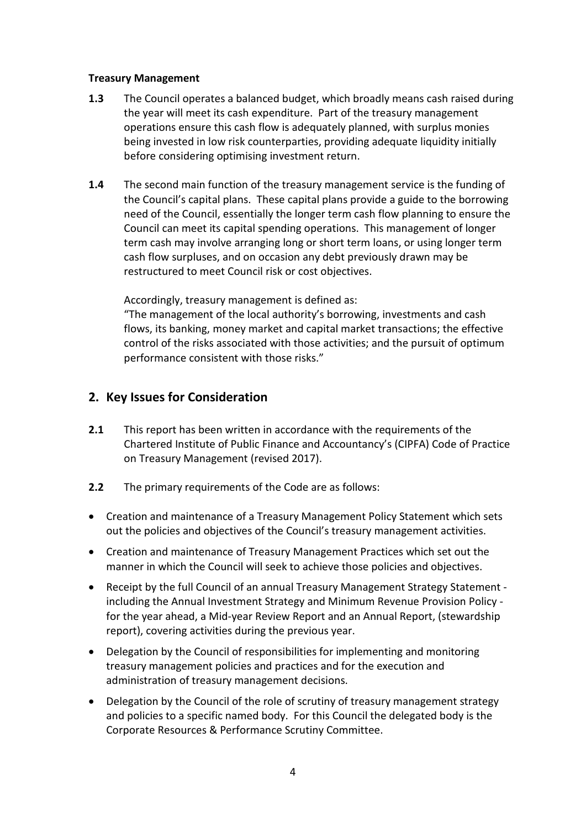### **Treasury Management**

- **1.3** The Council operates a balanced budget, which broadly means cash raised during the year will meet its cash expenditure. Part of the treasury management operations ensure this cash flow is adequately planned, with surplus monies being invested in low risk counterparties, providing adequate liquidity initially before considering optimising investment return.
- **1.4** The second main function of the treasury management service is the funding of the Council's capital plans. These capital plans provide a guide to the borrowing need of the Council, essentially the longer term cash flow planning to ensure the Council can meet its capital spending operations. This management of longer term cash may involve arranging long or short term loans, or using longer term cash flow surpluses, and on occasion any debt previously drawn may be restructured to meet Council risk or cost objectives.

Accordingly, treasury management is defined as:

"The management of the local authority's borrowing, investments and cash flows, its banking, money market and capital market transactions; the effective control of the risks associated with those activities; and the pursuit of optimum performance consistent with those risks."

# **2. Key Issues for Consideration**

- **2.1** This report has been written in accordance with the requirements of the Chartered Institute of Public Finance and Accountancy's (CIPFA) Code of Practice on Treasury Management (revised 2017).
- **2.2** The primary requirements of the Code are as follows:
- Creation and maintenance of a Treasury Management Policy Statement which sets out the policies and objectives of the Council's treasury management activities.
- Creation and maintenance of Treasury Management Practices which set out the manner in which the Council will seek to achieve those policies and objectives.
- Receipt by the full Council of an annual Treasury Management Strategy Statement including the Annual Investment Strategy and Minimum Revenue Provision Policy for the year ahead, a Mid-year Review Report and an Annual Report, (stewardship report), covering activities during the previous year.
- Delegation by the Council of responsibilities for implementing and monitoring treasury management policies and practices and for the execution and administration of treasury management decisions.
- Delegation by the Council of the role of scrutiny of treasury management strategy and policies to a specific named body. For this Council the delegated body is the Corporate Resources & Performance Scrutiny Committee.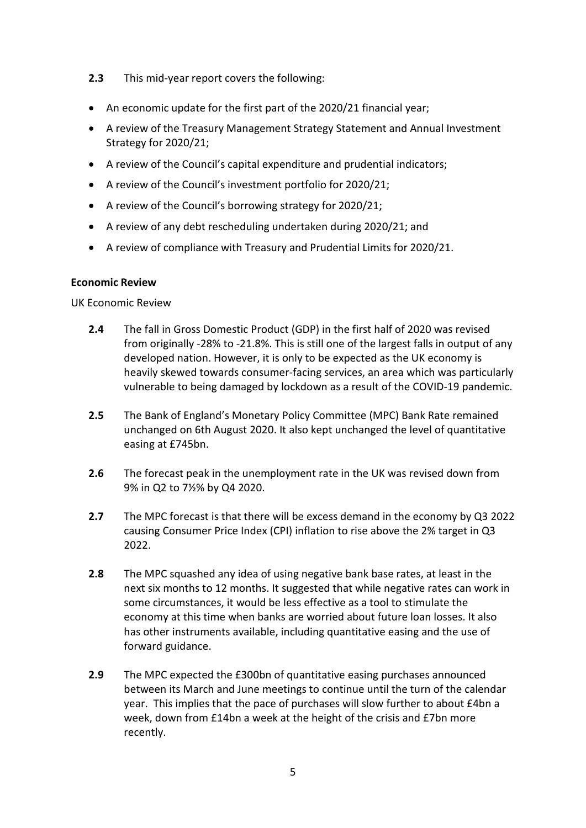- **2.3** This mid-year report covers the following:
- An economic update for the first part of the 2020/21 financial year;
- A review of the Treasury Management Strategy Statement and Annual Investment Strategy for 2020/21;
- A review of the Council's capital expenditure and prudential indicators;
- A review of the Council's investment portfolio for 2020/21;
- A review of the Council's borrowing strategy for 2020/21;
- A review of any debt rescheduling undertaken during 2020/21; and
- A review of compliance with Treasury and Prudential Limits for 2020/21.

### **Economic Review**

UK Economic Review

- **2.4** The fall in Gross Domestic Product (GDP) in the first half of 2020 was revised from originally -28% to -21.8%. This is still one of the largest falls in output of any developed nation. However, it is only to be expected as the UK economy is heavily skewed towards consumer-facing services, an area which was particularly vulnerable to being damaged by lockdown as a result of the COVID-19 pandemic.
- **2.5** The Bank of England's Monetary Policy Committee (MPC) Bank Rate remained unchanged on 6th August 2020. It also kept unchanged the level of quantitative easing at £745bn.
- **2.6** The forecast peak in the unemployment rate in the UK was revised down from 9% in Q2 to 7½% by Q4 2020.
- **2.7** The MPC forecast is that there will be excess demand in the economy by Q3 2022 causing Consumer Price Index (CPI) inflation to rise above the 2% target in Q3 2022.
- **2.8** The MPC squashed any idea of using negative bank base rates, at least in the next six months to 12 months. It suggested that while negative rates can work in some circumstances, it would be less effective as a tool to stimulate the economy at this time when banks are worried about future loan losses. It also has other instruments available, including quantitative easing and the use of forward guidance.
- **2.9** The MPC expected the £300bn of quantitative easing purchases announced between its March and June meetings to continue until the turn of the calendar year. This implies that the pace of purchases will slow further to about £4bn a week, down from £14bn a week at the height of the crisis and £7bn more recently.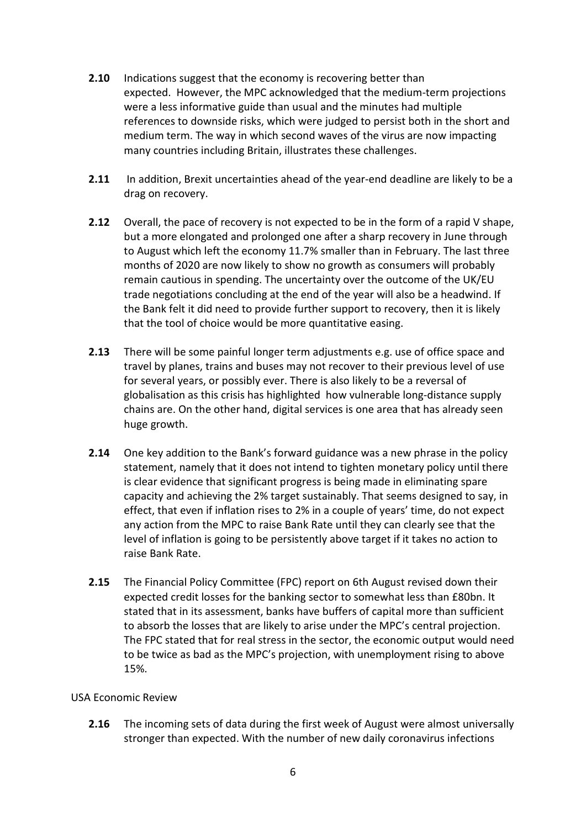- **2.10** Indications suggest that the economy is recovering better than expected. However, the MPC acknowledged that the medium-term projections were a less informative guide than usual and the minutes had multiple references to downside risks, which were judged to persist both in the short and medium term. The way in which second waves of the virus are now impacting many countries including Britain, illustrates these challenges.
- **2.11** In addition, Brexit uncertainties ahead of the year-end deadline are likely to be a drag on recovery.
- **2.12** Overall, the pace of recovery is not expected to be in the form of a rapid V shape, but a more elongated and prolonged one after a sharp recovery in June through to August which left the economy 11.7% smaller than in February. The last three months of 2020 are now likely to show no growth as consumers will probably remain cautious in spending. The uncertainty over the outcome of the UK/EU trade negotiations concluding at the end of the year will also be a headwind. If the Bank felt it did need to provide further support to recovery, then it is likely that the tool of choice would be more quantitative easing.
- **2.13** There will be some painful longer term adjustments e.g. use of office space and travel by planes, trains and buses may not recover to their previous level of use for several years, or possibly ever. There is also likely to be a reversal of globalisation as this crisis has highlighted how vulnerable long-distance supply chains are. On the other hand, digital services is one area that has already seen huge growth.
- **2.14** One key addition to the Bank's forward guidance was a new phrase in the policy statement, namely that it does not intend to tighten monetary policy until there is clear evidence that significant progress is being made in eliminating spare capacity and achieving the 2% target sustainably. That seems designed to say, in effect, that even if inflation rises to 2% in a couple of years' time, do not expect any action from the MPC to raise Bank Rate until they can clearly see that the level of inflation is going to be persistently above target if it takes no action to raise Bank Rate.
- **2.15** The Financial Policy Committee (FPC) report on 6th August revised down their expected credit losses for the banking sector to somewhat less than £80bn. It stated that in its assessment, banks have buffers of capital more than sufficient to absorb the losses that are likely to arise under the MPC's central projection. The FPC stated that for real stress in the sector, the economic output would need to be twice as bad as the MPC's projection, with unemployment rising to above 15%.

### USA Economic Review

**2.16** The incoming sets of data during the first week of August were almost universally stronger than expected. With the number of new daily coronavirus infections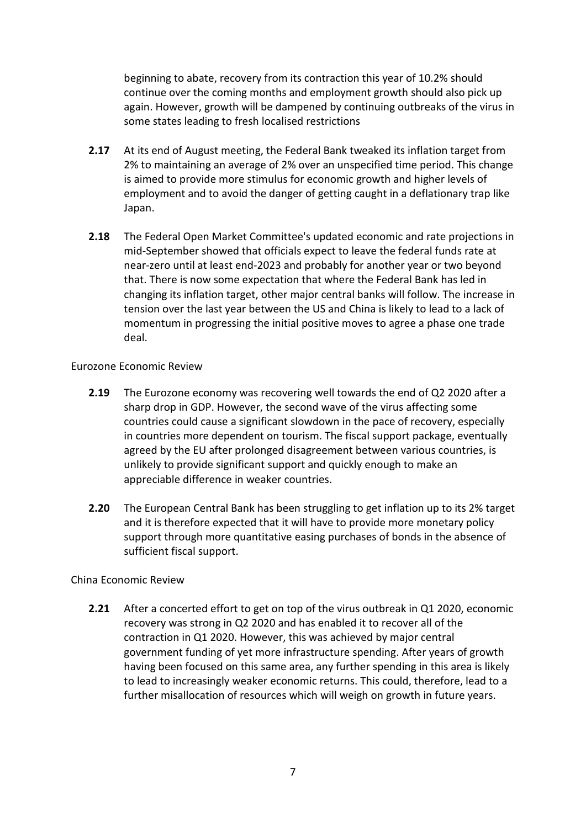beginning to abate, recovery from its contraction this year of 10.2% should continue over the coming months and employment growth should also pick up again. However, growth will be dampened by continuing outbreaks of the virus in some states leading to fresh localised restrictions

- **2.17** At its end of August meeting, the Federal Bank tweaked its inflation target from 2% to maintaining an average of 2% over an unspecified time period. This change is aimed to provide more stimulus for economic growth and higher levels of employment and to avoid the danger of getting caught in a deflationary trap like Japan.
- **2.18** The Federal Open Market Committee's updated economic and rate projections in mid-September showed that officials expect to leave the federal funds rate at near-zero until at least end-2023 and probably for another year or two beyond that. There is now some expectation that where the Federal Bank has led in changing its inflation target, other major central banks will follow. The increase in tension over the last year between the US and China is likely to lead to a lack of momentum in progressing the initial positive moves to agree a phase one trade deal.

### Eurozone Economic Review

- **2.19** The Eurozone economy was recovering well towards the end of Q2 2020 after a sharp drop in GDP. However, the second wave of the virus affecting some countries could cause a significant slowdown in the pace of recovery, especially in countries more dependent on tourism. The fiscal support package, eventually agreed by the EU after prolonged disagreement between various countries, is unlikely to provide significant support and quickly enough to make an appreciable difference in weaker countries.
- **2.20** The European Central Bank has been struggling to get inflation up to its 2% target and it is therefore expected that it will have to provide more monetary policy support through more quantitative easing purchases of bonds in the absence of sufficient fiscal support.

### China Economic Review

**2.21** After a concerted effort to get on top of the virus outbreak in Q1 2020, economic recovery was strong in Q2 2020 and has enabled it to recover all of the contraction in Q1 2020. However, this was achieved by major central government funding of yet more infrastructure spending. After years of growth having been focused on this same area, any further spending in this area is likely to lead to increasingly weaker economic returns. This could, therefore, lead to a further misallocation of resources which will weigh on growth in future years.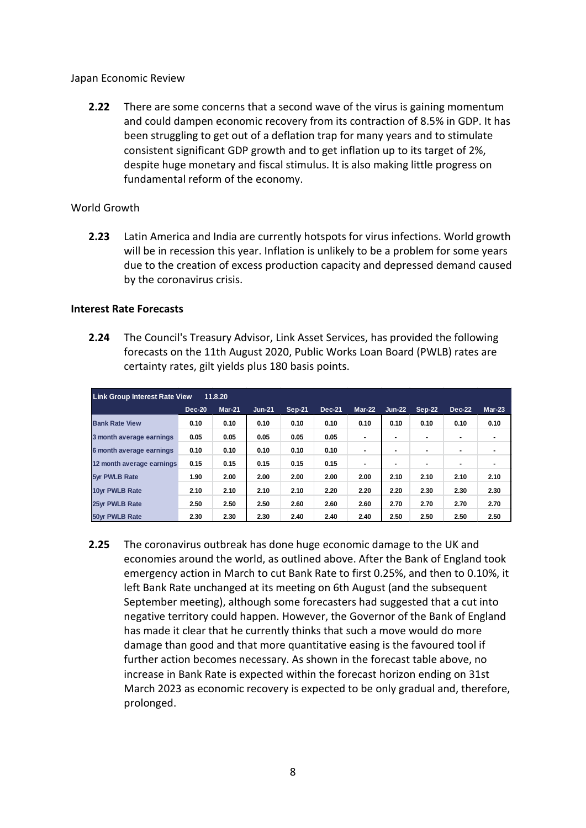#### Japan Economic Review

**2.22** There are some concerns that a second wave of the virus is gaining momentum and could dampen economic recovery from its contraction of 8.5% in GDP. It has been struggling to get out of a deflation trap for many years and to stimulate consistent significant GDP growth and to get inflation up to its target of 2%, despite huge monetary and fiscal stimulus. It is also making little progress on fundamental reform of the economy.

### World Growth

**2.23** Latin America and India are currently hotspots for virus infections. World growth will be in recession this year. Inflation is unlikely to be a problem for some years due to the creation of excess production capacity and depressed demand caused by the coronavirus crisis.

#### **Interest Rate Forecasts**

**2.24** The Council's Treasury Advisor, Link Asset Services, has provided the following forecasts on the 11th August 2020, Public Works Loan Board (PWLB) rates are certainty rates, gilt yields plus 180 basis points.

| <b>Link Group Interest Rate View</b><br>11.8.20 |        |        |          |        |        |        |          |        |               |          |
|-------------------------------------------------|--------|--------|----------|--------|--------|--------|----------|--------|---------------|----------|
|                                                 | Dec-20 | Mar-21 | $Jun-21$ | Sep-21 | Dec-21 | Mar-22 | $Jun-22$ | Sep-22 | <b>Dec-22</b> | $Mar-23$ |
| <b>Bank Rate View</b>                           | 0.10   | 0.10   | 0.10     | 0.10   | 0.10   | 0.10   | 0.10     | 0.10   | 0.10          | 0.10     |
| 3 month average earnings                        | 0.05   | 0.05   | 0.05     | 0.05   | 0.05   |        |          |        |               |          |
| 6 month average earnings                        | 0.10   | 0.10   | 0.10     | 0.10   | 0.10   |        |          |        |               |          |
| 12 month average earnings                       | 0.15   | 0.15   | 0.15     | 0.15   | 0.15   |        |          |        |               |          |
| <b>5vr PWLB Rate</b>                            | 1.90   | 2.00   | 2.00     | 2.00   | 2.00   | 2.00   | 2.10     | 2.10   | 2.10          | 2.10     |
| 10vr PWLB Rate                                  | 2.10   | 2.10   | 2.10     | 2.10   | 2.20   | 2.20   | 2.20     | 2.30   | 2.30          | 2.30     |
| 25vr PWLB Rate                                  | 2.50   | 2.50   | 2.50     | 2.60   | 2.60   | 2.60   | 2.70     | 2.70   | 2.70          | 2.70     |
| <b>50vr PWLB Rate</b>                           | 2.30   | 2.30   | 2.30     | 2.40   | 2.40   | 2.40   | 2.50     | 2.50   | 2.50          | 2.50     |

**2.25** The coronavirus outbreak has done huge economic damage to the UK and economies around the world, as outlined above. After the Bank of England took emergency action in March to cut Bank Rate to first 0.25%, and then to 0.10%, it left Bank Rate unchanged at its meeting on 6th August (and the subsequent September meeting), although some forecasters had suggested that a cut into negative territory could happen. However, the Governor of the Bank of England has made it clear that he currently thinks that such a move would do more damage than good and that more quantitative easing is the favoured tool if further action becomes necessary. As shown in the forecast table above, no increase in Bank Rate is expected within the forecast horizon ending on 31st March 2023 as economic recovery is expected to be only gradual and, therefore, prolonged.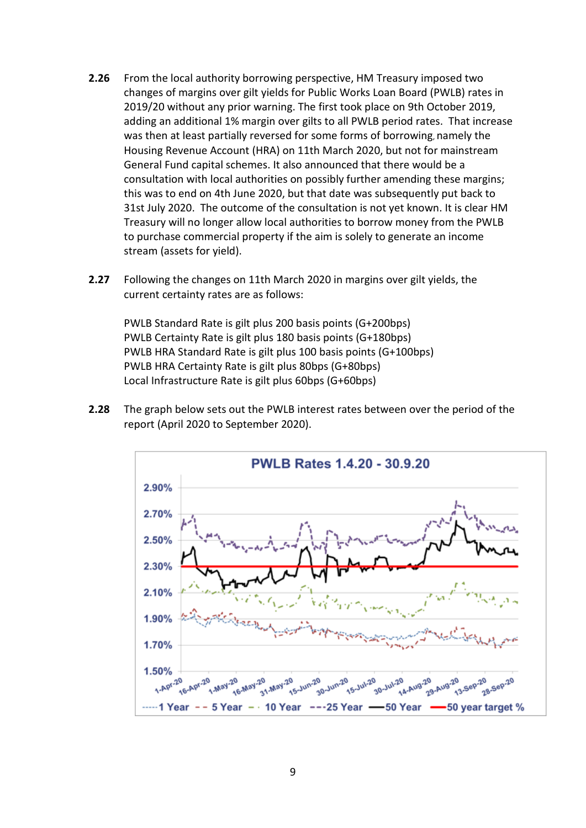- **2.26** From the local authority borrowing perspective, HM Treasury imposed two changes of margins over gilt yields for Public Works Loan Board (PWLB) rates in 2019/20 without any prior warning. The first took place on 9th October 2019, adding an additional 1% margin over gilts to all PWLB period rates. That increase was then at least partially reversed for some forms of borrowing, namely the Housing Revenue Account (HRA) on 11th March 2020, but not for mainstream General Fund capital schemes. It also announced that there would be a consultation with local authorities on possibly further amending these margins; this was to end on 4th June 2020, but that date was subsequently put back to 31st July 2020. The outcome of the consultation is not yet known. It is clear HM Treasury will no longer allow local authorities to borrow money from the PWLB to purchase commercial property if the aim is solely to generate an income stream (assets for yield).
- **2.27** Following the changes on 11th March 2020 in margins over gilt yields, the current certainty rates are as follows:

PWLB Standard Rate is gilt plus 200 basis points (G+200bps) PWLB Certainty Rate is gilt plus 180 basis points (G+180bps) PWLB HRA Standard Rate is gilt plus 100 basis points (G+100bps) PWLB HRA Certainty Rate is gilt plus 80bps (G+80bps) Local Infrastructure Rate is gilt plus 60bps (G+60bps)

**2.28** The graph below sets out the PWLB interest rates between over the period of the report (April 2020 to September 2020).

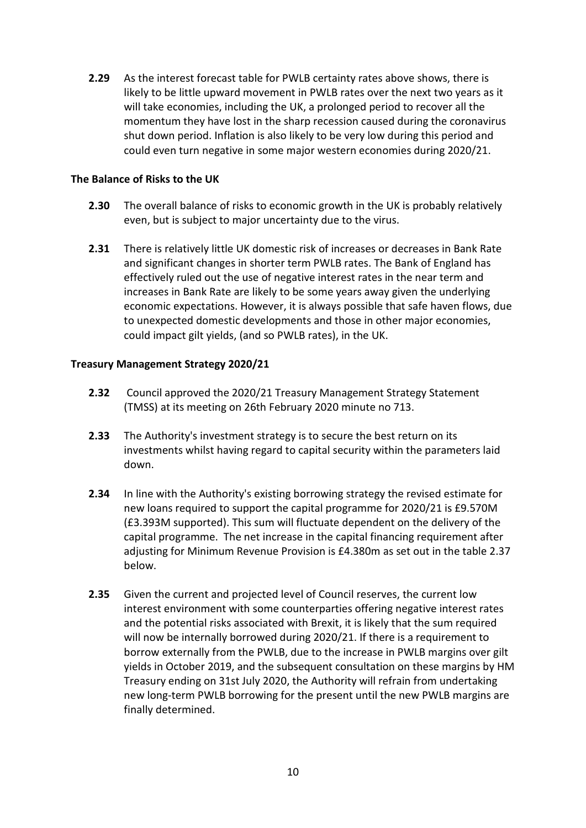**2.29** As the interest forecast table for PWLB certainty rates above shows, there is likely to be little upward movement in PWLB rates over the next two years as it will take economies, including the UK, a prolonged period to recover all the momentum they have lost in the sharp recession caused during the coronavirus shut down period. Inflation is also likely to be very low during this period and could even turn negative in some major western economies during 2020/21.

### **The Balance of Risks to the UK**

- **2.30** The overall balance of risks to economic growth in the UK is probably relatively even, but is subject to major uncertainty due to the virus.
- **2.31** There is relatively little UK domestic risk of increases or decreases in Bank Rate and significant changes in shorter term PWLB rates. The Bank of England has effectively ruled out the use of negative interest rates in the near term and increases in Bank Rate are likely to be some years away given the underlying economic expectations. However, it is always possible that safe haven flows, due to unexpected domestic developments and those in other major economies, could impact gilt yields, (and so PWLB rates), in the UK.

### **Treasury Management Strategy 2020/21**

- **2.32** Council approved the 2020/21 Treasury Management Strategy Statement (TMSS) at its meeting on 26th February 2020 minute no 713.
- **2.33** The Authority's investment strategy is to secure the best return on its investments whilst having regard to capital security within the parameters laid down.
- **2.34** In line with the Authority's existing borrowing strategy the revised estimate for new loans required to support the capital programme for 2020/21 is £9.570M (£3.393M supported). This sum will fluctuate dependent on the delivery of the capital programme. The net increase in the capital financing requirement after adjusting for Minimum Revenue Provision is £4.380m as set out in the table 2.37 below.
- **2.35** Given the current and projected level of Council reserves, the current low interest environment with some counterparties offering negative interest rates and the potential risks associated with Brexit, it is likely that the sum required will now be internally borrowed during 2020/21. If there is a requirement to borrow externally from the PWLB, due to the increase in PWLB margins over gilt yields in October 2019, and the subsequent consultation on these margins by HM Treasury ending on 31st July 2020, the Authority will refrain from undertaking new long-term PWLB borrowing for the present until the new PWLB margins are finally determined.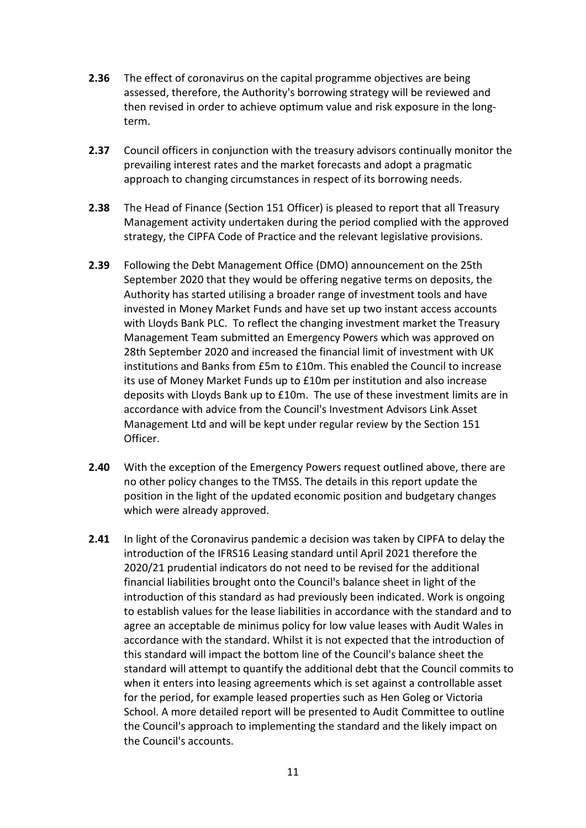- **2.36** The effect of coronavirus on the capital programme objectives are being assessed, therefore, the Authority's borrowing strategy will be reviewed and then revised in order to achieve optimum value and risk exposure in the longterm.
- **2.37** Council officers in conjunction with the treasury advisors continually monitor the prevailing interest rates and the market forecasts and adopt a pragmatic approach to changing circumstances in respect of its borrowing needs.
- **2.38** The Head of Finance (Section 151 Officer) is pleased to report that all Treasury Management activity undertaken during the period complied with the approved strategy, the CIPFA Code of Practice and the relevant legislative provisions.
- **2.39** Following the Debt Management Office (DMO) announcement on the 25th September 2020 that they would be offering negative terms on deposits, the Authority has started utilising a broader range of investment tools and have invested in Money Market Funds and have set up two instant access accounts with Lloyds Bank PLC. To reflect the changing investment market the Treasury Management Team submitted an Emergency Powers which was approved on 28th September 2020 and increased the financial limit of investment with UK institutions and Banks from £5m to £10m. This enabled the Council to increase its use of Money Market Funds up to £10m per institution and also increase deposits with Lloyds Bank up to £10m. The use of these investment limits are in accordance with advice from the Council's Investment Advisors Link Asset Management Ltd and will be kept under regular review by the Section 151 Officer.
- **2.40** With the exception of the Emergency Powers request outlined above, there are no other policy changes to the TMSS. The details in this report update the position in the light of the updated economic position and budgetary changes which were already approved.
- **2.41** In light of the Coronavirus pandemic a decision was taken by CIPFA to delay the introduction of the IFRS16 Leasing standard until April 2021 therefore the 2020/21 prudential indicators do not need to be revised for the additional financial liabilities brought onto the Council's balance sheet in light of the introduction of this standard as had previously been indicated. Work is ongoing to establish values for the lease liabilities in accordance with the standard and to agree an acceptable de minimus policy for low value leases with Audit Wales in accordance with the standard. Whilst it is not expected that the introduction of this standard will impact the bottom line of the Council's balance sheet the standard will attempt to quantify the additional debt that the Council commits to when it enters into leasing agreements which is set against a controllable asset for the period, for example leased properties such as Hen Goleg or Victoria School. A more detailed report will be presented to Audit Committee to outline the Council's approach to implementing the standard and the likely impact on the Council's accounts.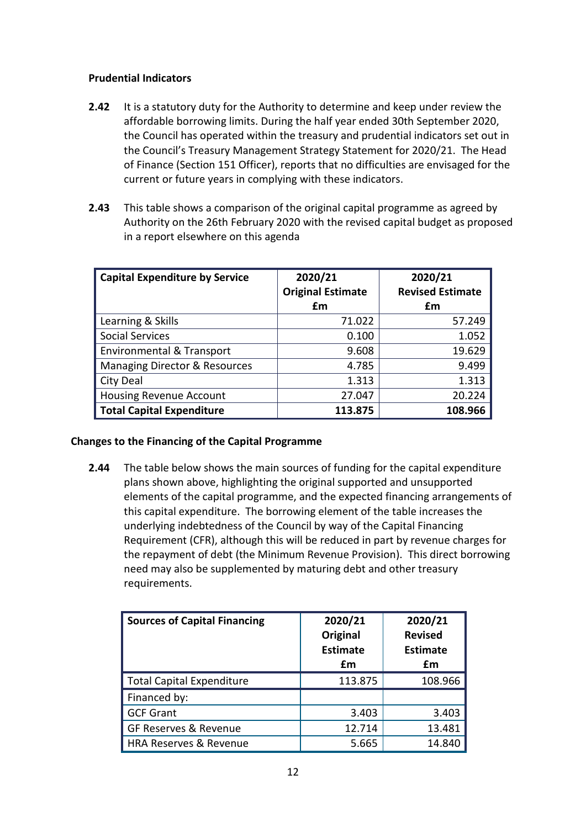### **Prudential Indicators**

- **2.42** It is a statutory duty for the Authority to determine and keep under review the affordable borrowing limits. During the half year ended 30th September 2020, the Council has operated within the treasury and prudential indicators set out in the Council's Treasury Management Strategy Statement for 2020/21. The Head of Finance (Section 151 Officer), reports that no difficulties are envisaged for the current or future years in complying with these indicators.
- **2.43** This table shows a comparison of the original capital programme as agreed by Authority on the 26th February 2020 with the revised capital budget as proposed in a report elsewhere on this agenda

| <b>Capital Expenditure by Service</b>    | 2020/21<br><b>Original Estimate</b> | 2020/21<br><b>Revised Estimate</b> |
|------------------------------------------|-------------------------------------|------------------------------------|
|                                          | £m                                  | £m                                 |
| Learning & Skills                        | 71.022                              | 57.249                             |
| <b>Social Services</b>                   | 0.100                               | 1.052                              |
| <b>Environmental &amp; Transport</b>     | 9.608                               | 19.629                             |
| <b>Managing Director &amp; Resources</b> | 4.785                               | 9.499                              |
| City Deal                                | 1.313                               | 1.313                              |
| <b>Housing Revenue Account</b>           | 27.047                              | 20.224                             |
| Total Capital Expenditure                | 113.875                             | 108.966                            |

### **Changes to the Financing of the Capital Programme**

**2.44** The table below shows the main sources of funding for the capital expenditure plans shown above, highlighting the original supported and unsupported elements of the capital programme, and the expected financing arrangements of this capital expenditure. The borrowing element of the table increases the underlying indebtedness of the Council by way of the Capital Financing Requirement (CFR), although this will be reduced in part by revenue charges for the repayment of debt (the Minimum Revenue Provision). This direct borrowing need may also be supplemented by maturing debt and other treasury requirements.

| <b>Sources of Capital Financing</b> | 2020/21<br>Original<br><b>Estimate</b><br>£m | 2020/21<br><b>Revised</b><br><b>Estimate</b><br>£m |
|-------------------------------------|----------------------------------------------|----------------------------------------------------|
| <b>Total Capital Expenditure</b>    | 113.875                                      | 108.966                                            |
| Financed by:                        |                                              |                                                    |
| <b>GCF Grant</b>                    | 3.403                                        | 3.403                                              |
| <b>GF Reserves &amp; Revenue</b>    | 12.714                                       | 13.481                                             |
| HRA Reserves & Revenue              | 5.665                                        | 14.840                                             |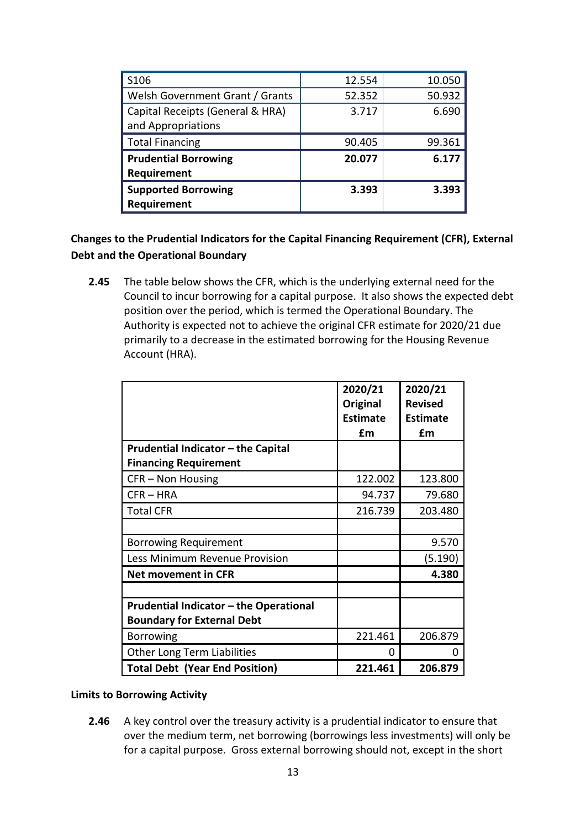| S <sub>106</sub>                 | 12.554 | 10.050 |
|----------------------------------|--------|--------|
| Welsh Government Grant / Grants  | 52.352 | 50.932 |
| Capital Receipts (General & HRA) | 3.717  | 6.690  |
| and Appropriations               |        |        |
| <b>Total Financing</b>           | 90.405 | 99.361 |
| <b>Prudential Borrowing</b>      | 20.077 | 6.177  |
| Requirement                      |        |        |
| <b>Supported Borrowing</b>       | 3.393  | 3.393  |
| Requirement                      |        |        |

# **Changes to the Prudential Indicators for the Capital Financing Requirement (CFR), External Debt and the Operational Boundary**

**2.45** The table below shows the CFR, which is the underlying external need for the Council to incur borrowing for a capital purpose. It also shows the expected debt position over the period, which is termed the Operational Boundary. The Authority is expected not to achieve the original CFR estimate for 2020/21 due primarily to a decrease in the estimated borrowing for the Housing Revenue Account (HRA).

|                                               | 2020/21<br>Original | 2020/21<br><b>Revised</b> |
|-----------------------------------------------|---------------------|---------------------------|
|                                               | <b>Estimate</b>     | <b>Estimate</b>           |
|                                               | £m                  | £m                        |
| Prudential Indicator - the Capital            |                     |                           |
| <b>Financing Requirement</b>                  |                     |                           |
| CFR - Non Housing                             | 122.002             | 123.800                   |
| $CFR - HRA$                                   | 94.737              | 79.680                    |
| <b>Total CFR</b>                              | 216.739             | 203.480                   |
|                                               |                     |                           |
| <b>Borrowing Requirement</b>                  |                     | 9.570                     |
| Less Minimum Revenue Provision                |                     | (5.190)                   |
| <b>Net movement in CFR</b>                    |                     | 4.380                     |
|                                               |                     |                           |
| <b>Prudential Indicator - the Operational</b> |                     |                           |
| <b>Boundary for External Debt</b>             |                     |                           |
| <b>Borrowing</b>                              | 221.461             | 206.879                   |
| <b>Other Long Term Liabilities</b>            | 0                   | 0                         |
| <b>Total Debt (Year End Position)</b>         | 221.461             | 206.879                   |

### **Limits to Borrowing Activity**

**2.46** A key control over the treasury activity is a prudential indicator to ensure that over the medium term, net borrowing (borrowings less investments) will only be for a capital purpose. Gross external borrowing should not, except in the short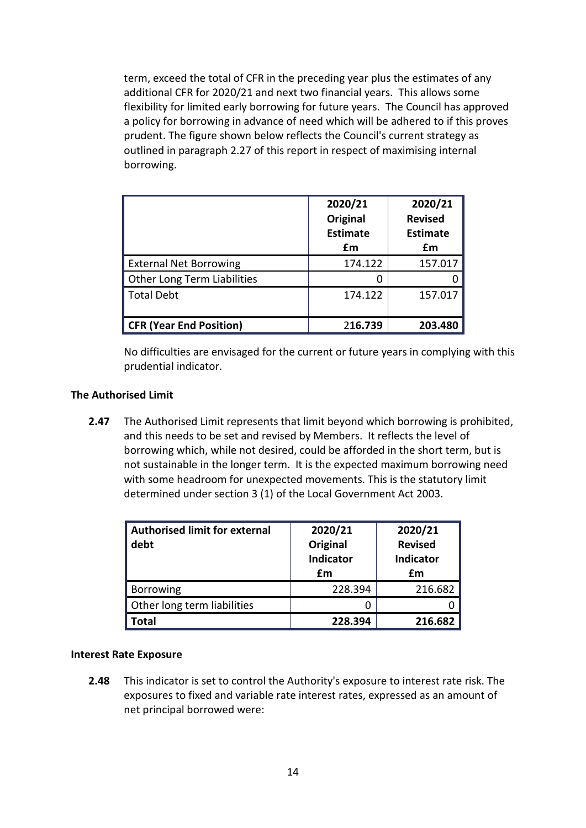term, exceed the total of CFR in the preceding year plus the estimates of any additional CFR for 2020/21 and next two financial years. This allows some flexibility for limited early borrowing for future years. The Council has approved a policy for borrowing in advance of need which will be adhered to if this proves prudent. The figure shown below reflects the Council's current strategy as outlined in paragraph 2.27 of this report in respect of maximising internal borrowing.

|                                    | 2020/21<br>Original<br><b>Estimate</b><br>£m | 2020/21<br><b>Revised</b><br><b>Estimate</b><br>£m |
|------------------------------------|----------------------------------------------|----------------------------------------------------|
| <b>External Net Borrowing</b>      | 174.122                                      | 157.017                                            |
| <b>Other Long Term Liabilities</b> |                                              |                                                    |
| Total Debt                         | 174.122                                      | 157.017                                            |
| <b>CFR (Year End Position)</b>     | 216.739                                      | 203.480                                            |

No difficulties are envisaged for the current or future years in complying with this prudential indicator.

### **The Authorised Limit**

**2.47** The Authorised Limit represents that limit beyond which borrowing is prohibited, and this needs to be set and revised by Members. It reflects the level of borrowing which, while not desired, could be afforded in the short term, but is not sustainable in the longer term. It is the expected maximum borrowing need with some headroom for unexpected movements. This is the statutory limit determined under section 3 (1) of the Local Government Act 2003.

| <b>Authorised limit for external</b><br>debt | 2020/21<br>Original<br><b>Indicator</b><br>£m | 2020/21<br><b>Revised</b><br><b>Indicator</b><br>£m |
|----------------------------------------------|-----------------------------------------------|-----------------------------------------------------|
| <b>Borrowing</b>                             | 228.394                                       | 216.682                                             |
| Other long term liabilities                  |                                               |                                                     |
| Total                                        | 228.394                                       | 216.682                                             |

### **Interest Rate Exposure**

**2.48** This indicator is set to control the Authority's exposure to interest rate risk. The exposures to fixed and variable rate interest rates, expressed as an amount of net principal borrowed were: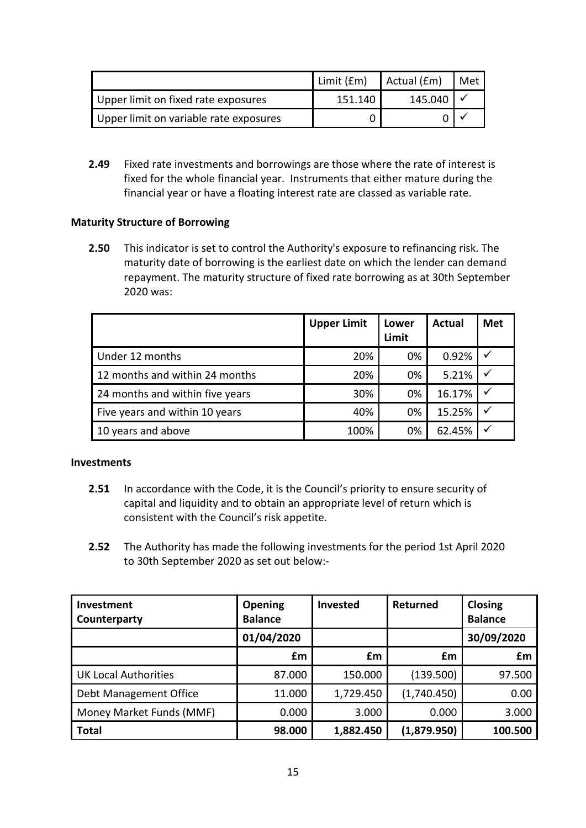|                                        | Limit (£m) | Actual (£m) | Met |
|----------------------------------------|------------|-------------|-----|
| Upper limit on fixed rate exposures    | 151.140    | 145.040     |     |
| Upper limit on variable rate exposures |            |             |     |

**2.49** Fixed rate investments and borrowings are those where the rate of interest is fixed for the whole financial year. Instruments that either mature during the financial year or have a floating interest rate are classed as variable rate.

### **Maturity Structure of Borrowing**

**2.50** This indicator is set to control the Authority's exposure to refinancing risk. The maturity date of borrowing is the earliest date on which the lender can demand repayment. The maturity structure of fixed rate borrowing as at 30th September 2020 was:

|                                 | <b>Upper Limit</b> | Lower<br>Limit | <b>Actual</b> | <b>Met</b>   |
|---------------------------------|--------------------|----------------|---------------|--------------|
| Under 12 months                 | 20%                | 0%             | 0.92%         | $\checkmark$ |
| 12 months and within 24 months  | 20%                | 0%             | 5.21%         | $\checkmark$ |
| 24 months and within five years | 30%                | 0%             | 16.17%        | $\checkmark$ |
| Five years and within 10 years  | 40%                | 0%             | 15.25%        | $\checkmark$ |
| 10 years and above              | 100%               | 0%             | 62.45%        |              |

### **Investments**

- **2.51** In accordance with the Code, it is the Council's priority to ensure security of capital and liquidity and to obtain an appropriate level of return which is consistent with the Council's risk appetite.
- **2.52** The Authority has made the following investments for the period 1st April 2020 to 30th September 2020 as set out below:-

| Investment<br>Counterparty | <b>Opening</b><br><b>Balance</b> | <b>Invested</b> | Returned    | Closing<br><b>Balance</b> |
|----------------------------|----------------------------------|-----------------|-------------|---------------------------|
|                            | 01/04/2020                       |                 |             | 30/09/2020                |
|                            | £m                               | £m              | £m          | £m                        |
| UK Local Authorities       | 87.000                           | 150.000         | (139.500)   | 97.500                    |
| Debt Management Office     | 11.000                           | 1,729.450       | (1,740.450) | 0.00                      |
| Money Market Funds (MMF)   | 0.000                            | 3.000           | 0.000       | 3.000                     |
| <b>Total</b>               | 98.000                           | 1,882.450       | (1,879.950) | 100.500                   |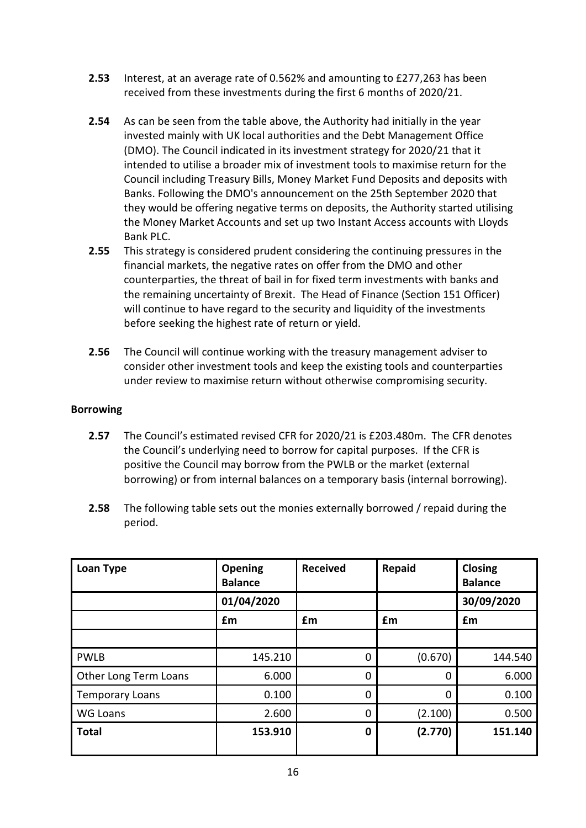- **2.53** Interest, at an average rate of 0.562% and amounting to £277,263 has been received from these investments during the first 6 months of 2020/21.
- **2.54** As can be seen from the table above, the Authority had initially in the year invested mainly with UK local authorities and the Debt Management Office (DMO). The Council indicated in its investment strategy for 2020/21 that it intended to utilise a broader mix of investment tools to maximise return for the Council including Treasury Bills, Money Market Fund Deposits and deposits with Banks. Following the DMO's announcement on the 25th September 2020 that they would be offering negative terms on deposits, the Authority started utilising the Money Market Accounts and set up two Instant Access accounts with Lloyds Bank PLC.
- **2.55** This strategy is considered prudent considering the continuing pressures in the financial markets, the negative rates on offer from the DMO and other counterparties, the threat of bail in for fixed term investments with banks and the remaining uncertainty of Brexit. The Head of Finance (Section 151 Officer) will continue to have regard to the security and liquidity of the investments before seeking the highest rate of return or yield.
- **2.56** The Council will continue working with the treasury management adviser to consider other investment tools and keep the existing tools and counterparties under review to maximise return without otherwise compromising security.

### **Borrowing**

- **2.57** The Council's estimated revised CFR for 2020/21 is £203.480m. The CFR denotes the Council's underlying need to borrow for capital purposes. If the CFR is positive the Council may borrow from the PWLB or the market (external borrowing) or from internal balances on a temporary basis (internal borrowing).
- **2.58** The following table sets out the monies externally borrowed / repaid during the period.

| Loan Type              | Opening<br><b>Balance</b> | <b>Received</b> | <b>Repaid</b> | <b>Closing</b><br><b>Balance</b> |
|------------------------|---------------------------|-----------------|---------------|----------------------------------|
|                        | 01/04/2020                |                 |               | 30/09/2020                       |
|                        | £m                        | £m              | £m            | £m                               |
|                        |                           |                 |               |                                  |
| <b>PWLB</b>            | 145.210                   | 0               | (0.670)       | 144.540                          |
| Other Long Term Loans  | 6.000                     | 0               | 0             | 6.000                            |
| <b>Temporary Loans</b> | 0.100                     | 0               | $\mathbf 0$   | 0.100                            |
| WG Loans               | 2.600                     | $\Omega$        | (2.100)       | 0.500                            |
| <b>Total</b>           | 153.910                   | 0               | (2.770)       | 151.140                          |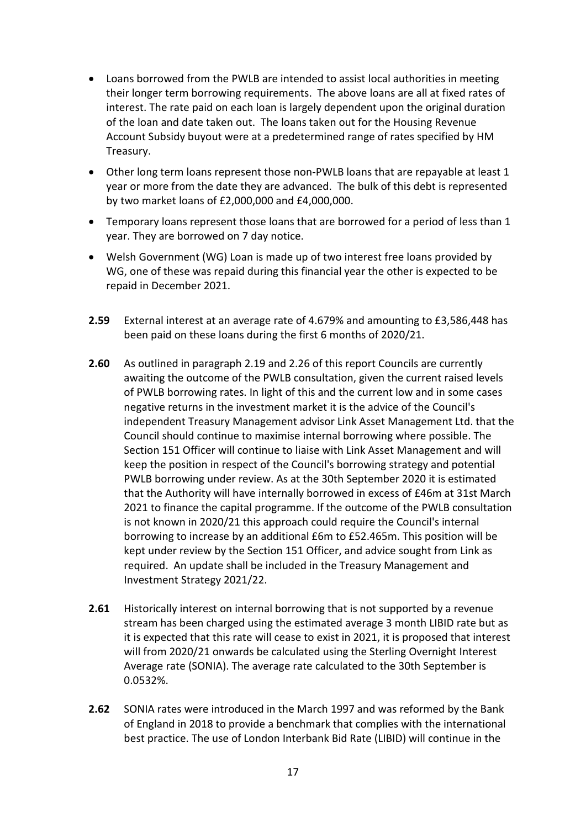- Loans borrowed from the PWLB are intended to assist local authorities in meeting their longer term borrowing requirements. The above loans are all at fixed rates of interest. The rate paid on each loan is largely dependent upon the original duration of the loan and date taken out. The loans taken out for the Housing Revenue Account Subsidy buyout were at a predetermined range of rates specified by HM Treasury.
- Other long term loans represent those non-PWLB loans that are repayable at least 1 year or more from the date they are advanced. The bulk of this debt is represented by two market loans of £2,000,000 and £4,000,000.
- Temporary loans represent those loans that are borrowed for a period of less than 1 year. They are borrowed on 7 day notice.
- Welsh Government (WG) Loan is made up of two interest free loans provided by WG, one of these was repaid during this financial year the other is expected to be repaid in December 2021.
- **2.59** External interest at an average rate of 4.679% and amounting to £3,586,448 has been paid on these loans during the first 6 months of 2020/21.
- **2.60** As outlined in paragraph 2.19 and 2.26 of this report Councils are currently awaiting the outcome of the PWLB consultation, given the current raised levels of PWLB borrowing rates. In light of this and the current low and in some cases negative returns in the investment market it is the advice of the Council's independent Treasury Management advisor Link Asset Management Ltd. that the Council should continue to maximise internal borrowing where possible. The Section 151 Officer will continue to liaise with Link Asset Management and will keep the position in respect of the Council's borrowing strategy and potential PWLB borrowing under review. As at the 30th September 2020 it is estimated that the Authority will have internally borrowed in excess of £46m at 31st March 2021 to finance the capital programme. If the outcome of the PWLB consultation is not known in 2020/21 this approach could require the Council's internal borrowing to increase by an additional £6m to £52.465m. This position will be kept under review by the Section 151 Officer, and advice sought from Link as required. An update shall be included in the Treasury Management and Investment Strategy 2021/22.
- **2.61** Historically interest on internal borrowing that is not supported by a revenue stream has been charged using the estimated average 3 month LIBID rate but as it is expected that this rate will cease to exist in 2021, it is proposed that interest will from 2020/21 onwards be calculated using the Sterling Overnight Interest Average rate (SONIA). The average rate calculated to the 30th September is 0.0532%.
- **2.62** SONIA rates were introduced in the March 1997 and was reformed by the Bank of England in 2018 to provide a benchmark that complies with the international best practice. The use of London Interbank Bid Rate (LIBID) will continue in the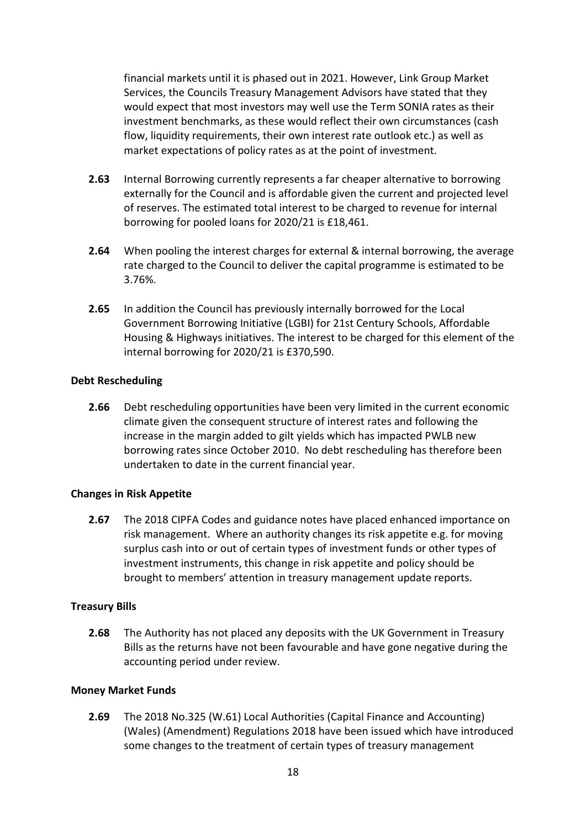financial markets until it is phased out in 2021. However, Link Group Market Services, the Councils Treasury Management Advisors have stated that they would expect that most investors may well use the Term SONIA rates as their investment benchmarks, as these would reflect their own circumstances (cash flow, liquidity requirements, their own interest rate outlook etc.) as well as market expectations of policy rates as at the point of investment.

- **2.63** Internal Borrowing currently represents a far cheaper alternative to borrowing externally for the Council and is affordable given the current and projected level of reserves. The estimated total interest to be charged to revenue for internal borrowing for pooled loans for 2020/21 is £18,461.
- **2.64** When pooling the interest charges for external & internal borrowing, the average rate charged to the Council to deliver the capital programme is estimated to be 3.76%.
- **2.65** In addition the Council has previously internally borrowed for the Local Government Borrowing Initiative (LGBI) for 21st Century Schools, Affordable Housing & Highways initiatives. The interest to be charged for this element of the internal borrowing for 2020/21 is £370,590.

### **Debt Rescheduling**

**2.66** Debt rescheduling opportunities have been very limited in the current economic climate given the consequent structure of interest rates and following the increase in the margin added to gilt yields which has impacted PWLB new borrowing rates since October 2010. No debt rescheduling has therefore been undertaken to date in the current financial year.

### **Changes in Risk Appetite**

**2.67** The 2018 CIPFA Codes and guidance notes have placed enhanced importance on risk management. Where an authority changes its risk appetite e.g. for moving surplus cash into or out of certain types of investment funds or other types of investment instruments, this change in risk appetite and policy should be brought to members' attention in treasury management update reports.

### **Treasury Bills**

**2.68** The Authority has not placed any deposits with the UK Government in Treasury Bills as the returns have not been favourable and have gone negative during the accounting period under review.

### **Money Market Funds**

**2.69** The 2018 No.325 (W.61) Local Authorities (Capital Finance and Accounting) (Wales) (Amendment) Regulations 2018 have been issued which have introduced some changes to the treatment of certain types of treasury management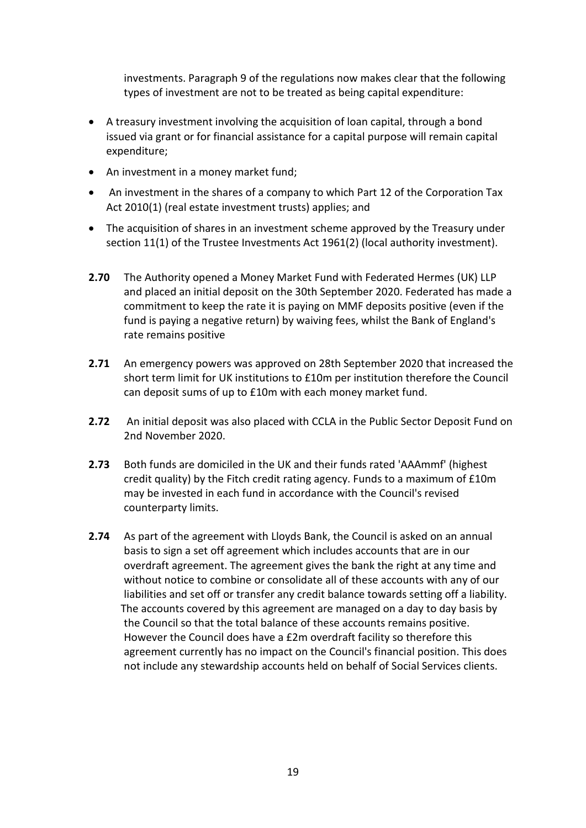investments. Paragraph 9 of the regulations now makes clear that the following types of investment are not to be treated as being capital expenditure:

- A treasury investment involving the acquisition of loan capital, through a bond issued via grant or for financial assistance for a capital purpose will remain capital expenditure;
- An investment in a money market fund;
- An investment in the shares of a company to which Part 12 of the Corporation Tax Act 2010(1) (real estate investment trusts) applies; and
- The acquisition of shares in an investment scheme approved by the Treasury under section 11(1) of the Trustee Investments Act 1961(2) (local authority investment).
- **2.70** The Authority opened a Money Market Fund with Federated Hermes (UK) LLP and placed an initial deposit on the 30th September 2020. Federated has made a commitment to keep the rate it is paying on MMF deposits positive (even if the fund is paying a negative return) by waiving fees, whilst the Bank of England's rate remains positive
- **2.71** An emergency powers was approved on 28th September 2020 that increased the short term limit for UK institutions to £10m per institution therefore the Council can deposit sums of up to £10m with each money market fund.
- **2.72** An initial deposit was also placed with CCLA in the Public Sector Deposit Fund on 2nd November 2020.
- **2.73** Both funds are domiciled in the UK and their funds rated 'AAAmmf' (highest credit quality) by the Fitch credit rating agency. Funds to a maximum of £10m may be invested in each fund in accordance with the Council's revised counterparty limits.
- **2.74** As part of the agreement with Lloyds Bank, the Council is asked on an annual basis to sign a set off agreement which includes accounts that are in our overdraft agreement. The agreement gives the bank the right at any time and without notice to combine or consolidate all of these accounts with any of our liabilities and set off or transfer any credit balance towards setting off a liability. The accounts covered by this agreement are managed on a day to day basis by the Council so that the total balance of these accounts remains positive. However the Council does have a £2m overdraft facility so therefore this agreement currently has no impact on the Council's financial position. This does not include any stewardship accounts held on behalf of Social Services clients.